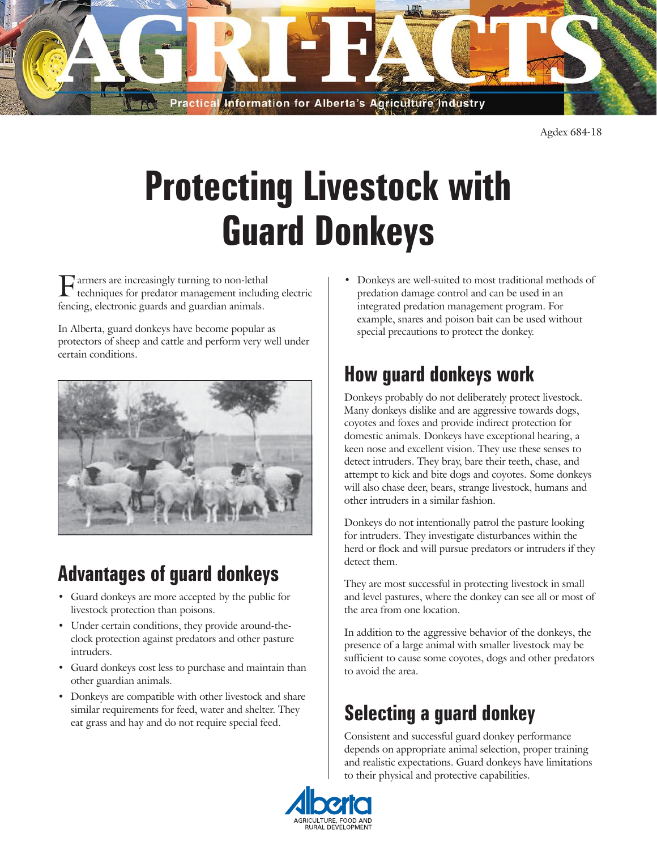

Agdex 684-18

# **Protecting Livestock with Guard Donkeys**

armers are increasingly turning to non-lethal techniques for predator management including electric fencing, electronic guards and guardian animals.

In Alberta, guard donkeys have become popular as protectors of sheep and cattle and perform very well under certain conditions.



#### **Advantages of guard donkeys**

- Guard donkeys are more accepted by the public for livestock protection than poisons.
- Under certain conditions, they provide around-theclock protection against predators and other pasture intruders.
- Guard donkeys cost less to purchase and maintain than other guardian animals.
- Donkeys are compatible with other livestock and share similar requirements for feed, water and shelter. They eat grass and hay and do not require special feed.

• Donkeys are well-suited to most traditional methods of predation damage control and can be used in an integrated predation management program. For example, snares and poison bait can be used without special precautions to protect the donkey.

### **How guard donkeys work**

Donkeys probably do not deliberately protect livestock. Many donkeys dislike and are aggressive towards dogs, coyotes and foxes and provide indirect protection for domestic animals. Donkeys have exceptional hearing, a keen nose and excellent vision. They use these senses to detect intruders. They bray, bare their teeth, chase, and attempt to kick and bite dogs and coyotes. Some donkeys will also chase deer, bears, strange livestock, humans and other intruders in a similar fashion.

Donkeys do not intentionally patrol the pasture looking for intruders. They investigate disturbances within the herd or flock and will pursue predators or intruders if they detect them.

They are most successful in protecting livestock in small and level pastures, where the donkey can see all or most of the area from one location.

In addition to the aggressive behavior of the donkeys, the presence of a large animal with smaller livestock may be sufficient to cause some coyotes, dogs and other predators to avoid the area.

## **Selecting a guard donkey**

Consistent and successful guard donkey performance depends on appropriate animal selection, proper training and realistic expectations. Guard donkeys have limitations to their physical and protective capabilities.

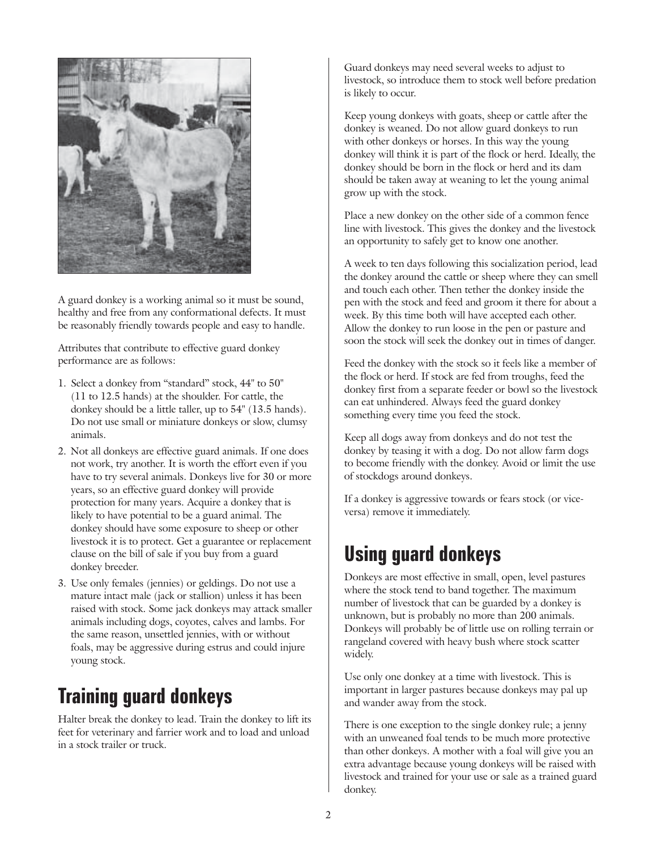

A guard donkey is a working animal so it must be sound, healthy and free from any conformational defects. It must be reasonably friendly towards people and easy to handle.

Attributes that contribute to effective guard donkey performance are as follows:

- 1. Select a donkey from "standard" stock, 44" to 50" (11 to 12.5 hands) at the shoulder. For cattle, the donkey should be a little taller, up to 54" (13.5 hands). Do not use small or miniature donkeys or slow, clumsy animals.
- 2. Not all donkeys are effective guard animals. If one does not work, try another. It is worth the effort even if you have to try several animals. Donkeys live for 30 or more years, so an effective guard donkey will provide protection for many years. Acquire a donkey that is likely to have potential to be a guard animal. The donkey should have some exposure to sheep or other livestock it is to protect. Get a guarantee or replacement clause on the bill of sale if you buy from a guard donkey breeder.
- 3. Use only females (jennies) or geldings. Do not use a mature intact male (jack or stallion) unless it has been raised with stock. Some jack donkeys may attack smaller animals including dogs, coyotes, calves and lambs. For the same reason, unsettled jennies, with or without foals, may be aggressive during estrus and could injure young stock.

#### **Training guard donkeys**

Halter break the donkey to lead. Train the donkey to lift its feet for veterinary and farrier work and to load and unload in a stock trailer or truck.

Guard donkeys may need several weeks to adjust to livestock, so introduce them to stock well before predation is likely to occur.

Keep young donkeys with goats, sheep or cattle after the donkey is weaned. Do not allow guard donkeys to run with other donkeys or horses. In this way the young donkey will think it is part of the flock or herd. Ideally, the donkey should be born in the flock or herd and its dam should be taken away at weaning to let the young animal grow up with the stock.

Place a new donkey on the other side of a common fence line with livestock. This gives the donkey and the livestock an opportunity to safely get to know one another.

A week to ten days following this socialization period, lead the donkey around the cattle or sheep where they can smell and touch each other. Then tether the donkey inside the pen with the stock and feed and groom it there for about a week. By this time both will have accepted each other. Allow the donkey to run loose in the pen or pasture and soon the stock will seek the donkey out in times of danger.

Feed the donkey with the stock so it feels like a member of the flock or herd. If stock are fed from troughs, feed the donkey first from a separate feeder or bowl so the livestock can eat unhindered. Always feed the guard donkey something every time you feed the stock.

Keep all dogs away from donkeys and do not test the donkey by teasing it with a dog. Do not allow farm dogs to become friendly with the donkey. Avoid or limit the use of stockdogs around donkeys.

If a donkey is aggressive towards or fears stock (or viceversa) remove it immediately.

#### **Using guard donkeys**

Donkeys are most effective in small, open, level pastures where the stock tend to band together. The maximum number of livestock that can be guarded by a donkey is unknown, but is probably no more than 200 animals. Donkeys will probably be of little use on rolling terrain or rangeland covered with heavy bush where stock scatter widely.

Use only one donkey at a time with livestock. This is important in larger pastures because donkeys may pal up and wander away from the stock.

There is one exception to the single donkey rule; a jenny with an unweaned foal tends to be much more protective than other donkeys. A mother with a foal will give you an extra advantage because young donkeys will be raised with livestock and trained for your use or sale as a trained guard donkey.